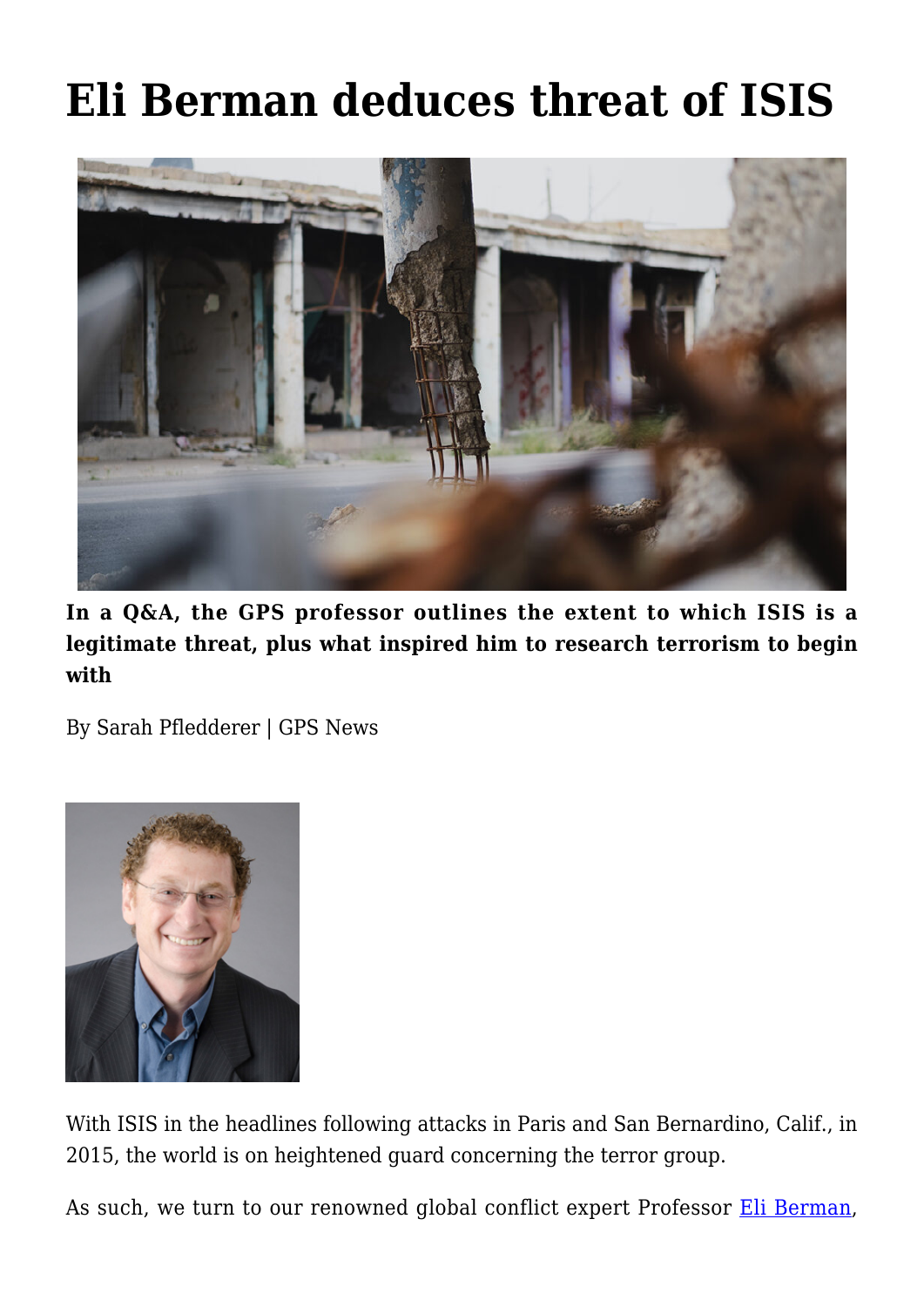# **[Eli Berman deduces threat of ISIS](https://gpsnews.ucsd.edu/eli-berman-deduces-threat-of-isis/)**



**In a Q&A, the GPS professor outlines the extent to which ISIS is a legitimate threat, plus what inspired him to research terrorism to begin with**

By Sarah Pfledderer | GPS News



With ISIS in the headlines following attacks in Paris and San Bernardino, Calif., in 2015, the world is on heightened guard concerning the terror group.

As such, we turn to our renowned global conflict expert Professor [Eli Berman,](https://gps.ucsd.edu/faculty-directory/eli-berman.html)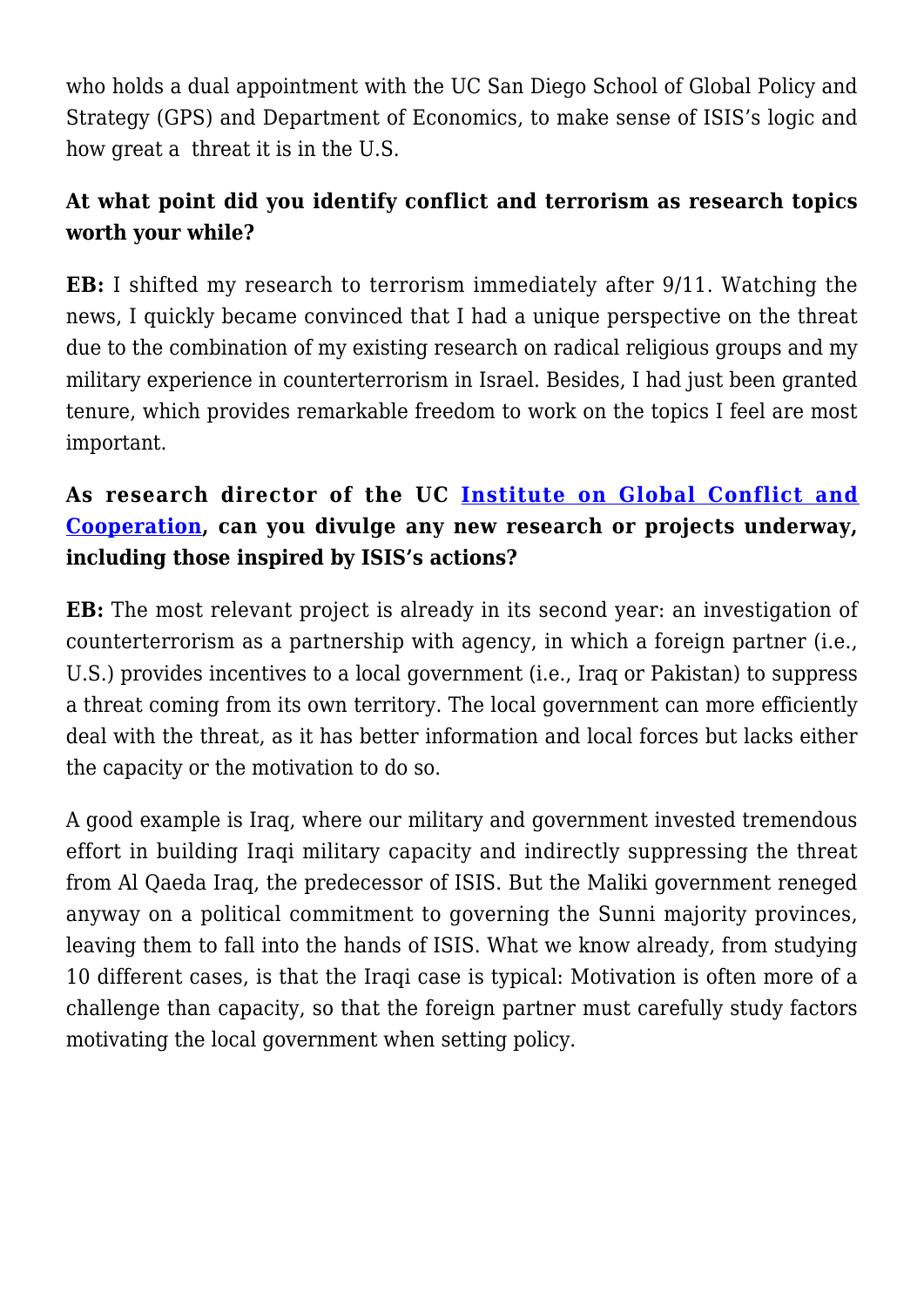who holds a dual appointment with the UC San Diego School of Global Policy and Strategy (GPS) and Department of Economics, to make sense of ISIS's logic and how great a threat it is in the U.S.

## **At what point did you identify conflict and terrorism as research topics worth your while?**

**EB:** I shifted my research to terrorism immediately after 9/11. Watching the news, I quickly became convinced that I had a unique perspective on the threat due to the combination of my existing research on radical religious groups and my military experience in counterterrorism in Israel. Besides, I had just been granted tenure, which provides remarkable freedom to work on the topics I feel are most important.

## **As research director of the UC [Institute on Global Conflict and](http://igcc.ucsd.edu/) [Cooperation](http://igcc.ucsd.edu/), can you divulge any new research or projects underway, including those inspired by ISIS's actions?**

**EB:** The most relevant project is already in its second year: an investigation of counterterrorism as a partnership with agency, in which a foreign partner (i.e., U.S.) provides incentives to a local government (i.e., Iraq or Pakistan) to suppress a threat coming from its own territory. The local government can more efficiently deal with the threat, as it has better information and local forces but lacks either the capacity or the motivation to do so.

A good example is Iraq, where our military and government invested tremendous effort in building Iraqi military capacity and indirectly suppressing the threat from Al Qaeda Iraq, the predecessor of ISIS. But the Maliki government reneged anyway on a political commitment to governing the Sunni majority provinces, leaving them to fall into the hands of ISIS. What we know already, from studying 10 different cases, is that the Iraqi case is typical: Motivation is often more of a challenge than capacity, so that the foreign partner must carefully study factors motivating the local government when setting policy.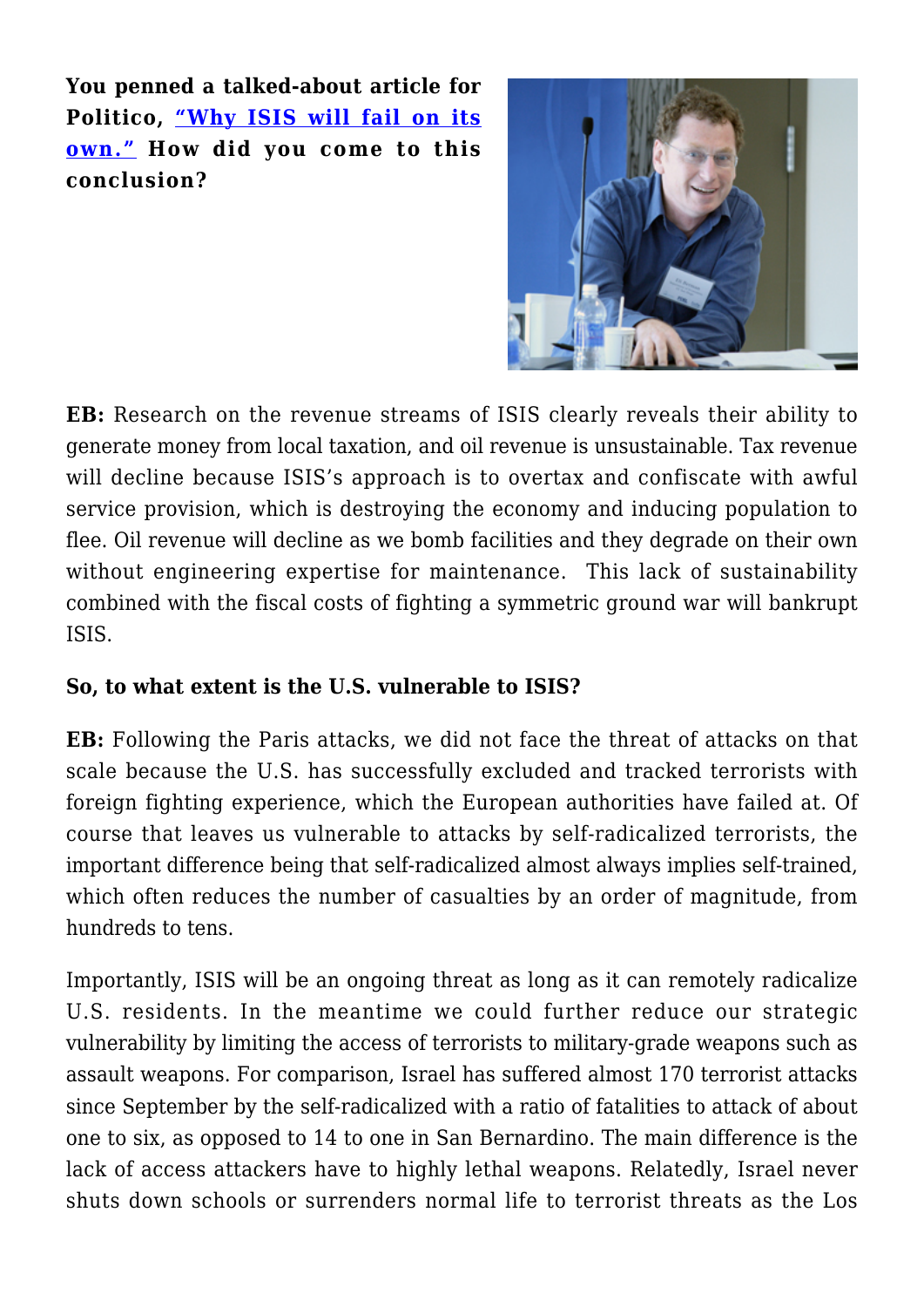**You penned a talked-about article for Politico, ["Why ISIS will fail on its](http://www.politico.com/magazine/story/2015/11/why-isil-will-fail-on-its-own-213401) [own."](http://www.politico.com/magazine/story/2015/11/why-isil-will-fail-on-its-own-213401) How did you come to this conclusion?**



**EB:** Research on the revenue streams of ISIS clearly reveals their ability to generate money from local taxation, and oil revenue is unsustainable. Tax revenue will decline because ISIS's approach is to overtax and confiscate with awful service provision, which is destroying the economy and inducing population to flee. Oil revenue will decline as we bomb facilities and they degrade on their own without engineering expertise for maintenance. This lack of sustainability combined with the fiscal costs of fighting a symmetric ground war will bankrupt ISIS.

#### **So, to what extent is the U.S. vulnerable to ISIS?**

**EB:** Following the Paris attacks, we did not face the threat of attacks on that scale because the U.S. has successfully excluded and tracked terrorists with foreign fighting experience, which the European authorities have failed at. Of course that leaves us vulnerable to attacks by self-radicalized terrorists, the important difference being that self-radicalized almost always implies self-trained, which often reduces the number of casualties by an order of magnitude, from hundreds to tens.

Importantly, ISIS will be an ongoing threat as long as it can remotely radicalize U.S. residents. In the meantime we could further reduce our strategic vulnerability by limiting the access of terrorists to military-grade weapons such as assault weapons. For comparison, Israel has suffered almost 170 terrorist attacks since September by the self-radicalized with a ratio of fatalities to attack of about one to six, as opposed to 14 to one in San Bernardino. The main difference is the lack of access attackers have to highly lethal weapons. Relatedly, Israel never shuts down schools or surrenders normal life to terrorist threats as the Los